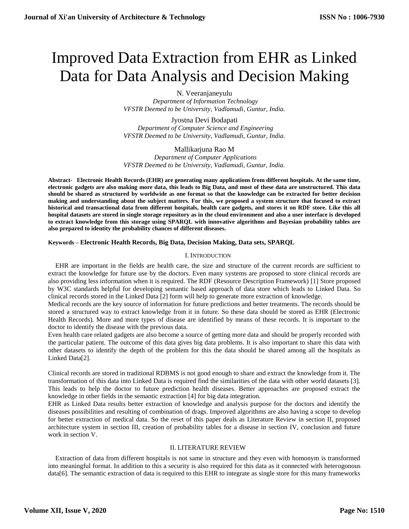# Improved Data Extraction from EHR as Linked Data for Data Analysis and Decision Making

N. Veeranjaneyulu

 *Department of Information Technology VFSTR Deemed to be University, Vadlamudi, Guntur, India.*

Jyostna Devi Bodapati  *Department of Computer Science and Engineering VFSTR Deemed to be University, Vadlamudi, Guntur, India.*

# Mallikarjuna Rao M

 *Department of Computer Applications VFSTR Deemed to be University, Vadlamudi, Guntur, India.*

**Abstract- Electronic Health Records (EHR) are generating many applications from different hospitals. At the same time, electronic gadgets are also making more data, this leads to Big Data, and most of these data are unstructured. This data should be shared as structured by worldwide as one format so that the knowledge can be extracted for better decision making and understanding about the subject matters. For this, we proposed a system structure that focused to extract historical and transactional data from different hospitals, health care gadgets, and stores it on RDF store. Like this all hospital datasets are stored in single storage repository as in the cloud environment and also a user interface is developed to extract knowledge from this storage using SPARQL with innovative algorithms and Bayesian probability tables are also prepared to identity the probability chances of different diseases.**

# **Keywords – Electronic Health Records, Big Data, Decision Making, Data sets, SPARQL**

### I. INTRODUCTION

EHR are important in the fields are health care, the size and structure of the current records are sufficient to extract the knowledge for future use by the doctors. Even many systems are proposed to store clinical records are also providing less information when it is required. The RDF (Resource Description Framework) [1] Store proposed by W3C standards helpful for developing semantic based approach of data store which leads to Linked Data. So clinical records stored in the Linked Data [2] form will help to generate more extraction of knowledge.

Medical records are the key source of information for future predictions and better treatments. The records should be stored a structured way to extract knowledge from it in future. So these data should be stored as EHR (Electronic Health Records). More and more types of disease are identified by means of these records. It is important to the doctor to identify the disease with the previous data.

Even health care related gadgets are also become a source of getting more data and should be properly recorded with the particular patient. The outcome of this data gives big data problems. It is also important to share this data with other datasets to identify the depth of the problem for this the data should be shared among all the hospitals as Linked Data[2].

Clinical records are stored in traditional RDBMS is not good enough to share and extract the knowledge from it. The transformation of this data into Linked Data is required find the similarities of the data with other world datasets [3]. This leads to help the doctor to future prediction health diseases. Better approaches are proposed extract the knowledge in other fields in the semantic extraction [4] for big data integration.

EHR as Linked Data results better extraction of knowledge and analysis purpose for the doctors and identify the diseases possibilities and resulting of combination of drags. Improved algorithms are also having a scope to develop for better extraction of medical data. So the reset of this paper deals as Literature Review in section II, proposed architecture system in section III, creation of probability tables for a disease in section IV, conclusion and future work in section V.

### II. LITERATURE REVIEW

Extraction of data from different hospitals is not same in structure and they even with homonym is transformed into meaningful format. In addition to this a security is also required for this data as it connected with heterogonous data[6]. The semantic extraction of data is required to this EHR to integrate as single store for this many frameworks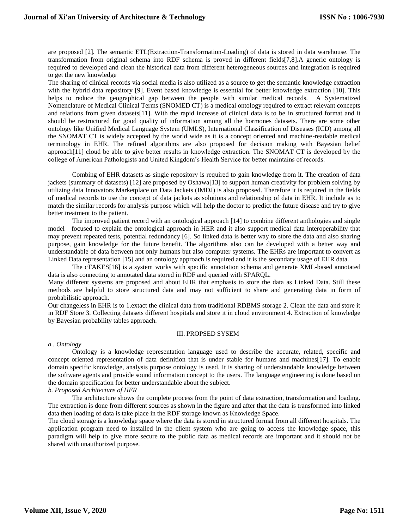are proposed [2]. The semantic ETL(Extraction-Transformation-Loading) of data is stored in data warehouse. The transformation from original schema into RDF schema is proved in different fields[7,8].A generic ontology is required to developed and clean the historical data from different heterogeneous sources and integration is required to get the new knowledge

The sharing of clinical records via social media is also utilized as a source to get the semantic knowledge extraction with the hybrid data repository [9]. Event based knowledge is essential for better knowledge extraction [10]. This helps to reduce the geographical gap between the people with similar medical records. A Systematized Nomenclature of Medical Clinical Terms (SNOMED CT) is a medical ontology required to extract relevant concepts and relations from given datasets[11]. With the rapid increase of clinical data is to be in structured format and it should be restructured for good quality of information among all the hormones datasets. There are some other ontology like Unified Medical Language System (UMLS), International Classification of Diseases (ICD) among all the SNOMAT CT is widely accepted by the world wide as it is a concept oriented and machine-readable medical terminology in EHR. The refined algorithms are also proposed for decision making with Bayesian belief approach[11] cloud be able to give better results in knowledge extraction. The SNOMAT CT is developed by the college of American Pathologists and United Kingdom's Health Service for better maintains of records.

Combing of EHR datasets as single repository is required to gain knowledge from it. The creation of data jackets (summary of datasets) [12] are proposed by Oshawa[13] to support human creativity for problem solving by utilizing data Innovators Marketplace on Data Jackets (IMDJ) is also proposed. Therefore it is required in the fields of medical records to use the concept of data jackets as solutions and relationship of data in EHR. It include as to match the similar records for analysis purpose which will help the doctor to predict the future disease and try to give better treatment to the patient.

The improved patient record with an ontological approach [14] to combine different anthologies and single model focused to explain the ontological approach in HER and it also support medical data interoperability that may prevent repeated tests, potential redundancy [6]. So linked data is better way to store the data and also sharing purpose, gain knowledge for the future benefit. The algorithms also can be developed with a better way and understandable of data between not only humans but also computer systems. The EHRs are important to convert as Linked Data representation [15] and an ontology approach is required and it is the secondary usage of EHR data.

The cTAKES[16] is a system works with specific annotation schema and generate XML-based annotated data is also connecting to annotated data stored in RDF and queried with SPARQL.

Many different systems are proposed and about EHR that emphasis to store the data as Linked Data. Still these methods are helpful to store structured data and may not sufficient to share and generating data in form of probabilistic approach.

Our changeless in EHR is to 1.extact the clinical data from traditional RDBMS storage 2. Clean the data and store it in RDF Store 3. Collecting datasets different hospitals and store it in cloud environment 4. Extraction of knowledge by Bayesian probability tables approach.

### III. PROPSED SYSEM

#### *a . Ontology*

Ontology is a knowledge representation language used to describe the accurate, related, specific and concept oriented representation of data definition that is under stable for humans and machines[17]. To enable domain specific knowledge, analysis purpose ontology is used. It is sharing of understandable knowledge between the software agents and provide sound information concept to the users. The language engineering is done based on the domain specification for better understandable about the subject.

# *b. Proposed Architecture of HER*

The architecture shows the complete process from the point of data extraction, transformation and loading. The extraction is done from different sources as shown in the figure and after that the data is transformed into linked data then loading of data is take place in the RDF storage known as Knowledge Space.

The cloud storage is a knowledge space where the data is stored in structured format from all different hospitals. The application program need to installed in the client system who are going to access the knowledge space, this paradigm will help to give more secure to the public data as medical records are important and it should not be shared with unauthorized purpose.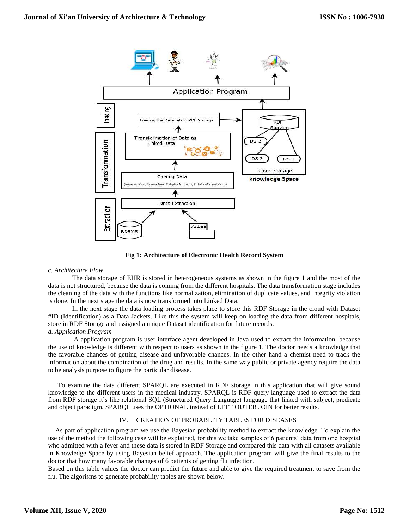

**Fig 1: Architecture of Electronic Health Record System**

### *c. Architecture Flow*

The data storage of EHR is stored in heterogeneous systems as shown in the figure 1 and the most of the data is not structured, because the data is coming from the different hospitals. The data transformation stage includes the cleaning of the data with the functions like normalization, elimination of duplicate values, and integrity violation is done. In the next stage the data is now transformed into Linked Data.

In the next stage the data loading process takes place to store this RDF Storage in the cloud with Dataset #ID (Identification) as a Data Jackets. Like this the system will keep on loading the data from different hospitals, store in RDF Storage and assigned a unique Dataset identification for future records. *d. Application Program*

A application program is user interface agent developed in Java used to extract the information, because the use of knowledge is different with respect to users as shown in the figure 1. The doctor needs a knowledge that the favorable chances of getting disease and unfavorable chances. In the other hand a chemist need to track the information about the combination of the drug and results. In the same way public or private agency require the data to be analysis purpose to figure the particular disease.

To examine the data different SPARQL are executed in RDF storage in this application that will give sound knowledge to the different users in the medical industry. SPARQL is RDF query language used to extract the data from RDF storage it's like relational SQL (Structured Query Language) language that linked with subject, predicate and object paradigm. SPARQL uses the OPTIONAL instead of LEFT OUTER JOIN for better results.

# IV. CREATION OF PROBABLITY TABLES FOR DISEASES

As part of application program we use the Bayesian probability method to extract the knowledge. To explain the use of the method the following case will be explained, for this we take samples of 6 patients' data from one hospital who admitted with a fever and these data is stored in RDF Storage and compared this data with all datasets available in Knowledge Space by using Bayesian belief approach. The application program will give the final results to the doctor that how many favorable changes of 6 patients of getting flu infection.

Based on this table values the doctor can predict the future and able to give the required treatment to save from the flu. The algorisms to generate probability tables are shown below.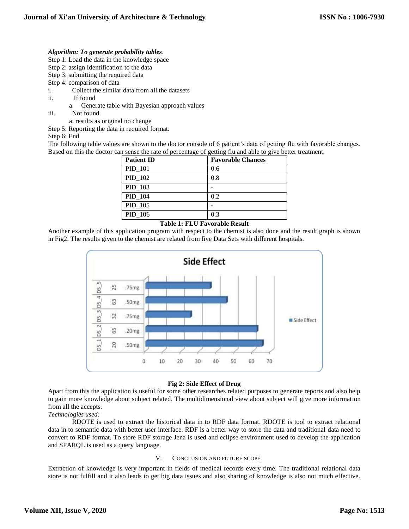# *Algorithm: To generate probability tables*.

- Step 1: Load the data in the knowledge space
- Step 2: assign Identification to the data
- Step 3: submitting the required data
- Step 4: comparison of data
- i. Collect the similar data from all the datasets
- ii. If found
	- a. Generate table with Bayesian approach values
- iii. Not found
	- a. results as original no change
- Step 5: Reporting the data in required format.

Step 6: End

The following table values are shown to the doctor console of 6 patient's data of getting flu with favorable changes. Based on this the doctor can sense the rate of percentage of getting flu and able to give better treatment.

| <b>Patient ID</b> | <b>Favorable Chances</b> |
|-------------------|--------------------------|
| PID_101           | 0.6                      |
| PID_102           | 0.8                      |
| PID_103           |                          |
| PID_104           | 0.2                      |
| PID 105           |                          |
| PID 106           | 0.3                      |

# **Table 1: FLU Favorable Result**

Another example of this application program with respect to the chemist is also done and the result graph is shown in Fig2. The results given to the chemist are related from five Data Sets with different hospitals.



### **Fig 2: Side Effect of Drug**

Apart from this the application is useful for some other researches related purposes to generate reports and also help to gain more knowledge about subject related. The multidimensional view about subject will give more information from all the accepts.

### *Technologies used:*

RDOTE is used to extract the historical data in to RDF data format. RDOTE is tool to extract relational data in to semantic data with better user interface. RDF is a better way to store the data and traditional data need to convert to RDF format. To store RDF storage Jena is used and eclipse environment used to develop the application and SPARQL is used as a query language.

### V. CONCLUSION AND FUTURE SCOPE

Extraction of knowledge is very important in fields of medical records every time. The traditional relational data store is not fulfill and it also leads to get big data issues and also sharing of knowledge is also not much effective.